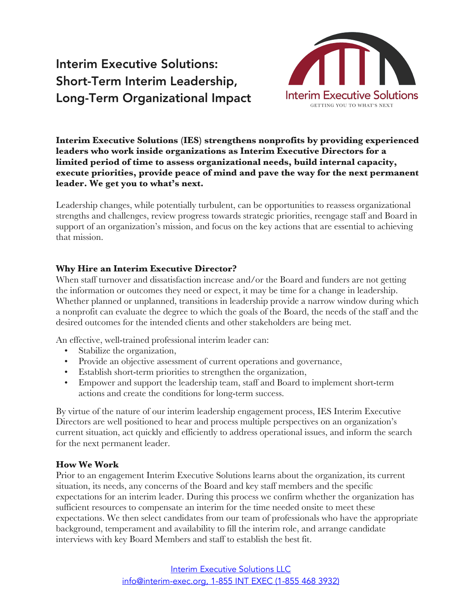# Interim Executive Solutions: Short-Term Interim Leadership, Long-Term Organizational Impact



**Interim Executive Solutions (IES) strengthens nonprofits by providing experienced leaders who work inside organizations as Interim Executive Directors for a limited period of time to assess organizational needs, build internal capacity, execute priorities, provide peace of mind and pave the way for the next permanent leader. We get you to what's next.**

Leadership changes, while potentially turbulent, can be opportunities to reassess organizational strengths and challenges, review progress towards strategic priorities, reengage staff and Board in support of an organization's mission, and focus on the key actions that are essential to achieving that mission.

### **Why Hire an Interim Executive Director?**

When staff turnover and dissatisfaction increase and/or the Board and funders are not getting the information or outcomes they need or expect, it may be time for a change in leadership. Whether planned or unplanned, transitions in leadership provide a narrow window during which a nonprofit can evaluate the degree to which the goals of the Board, the needs of the staff and the desired outcomes for the intended clients and other stakeholders are being met.

An effective, well-trained professional interim leader can:

- Stabilize the organization,
- Provide an objective assessment of current operations and governance,
- Establish short-term priorities to strengthen the organization,
- Empower and support the leadership team, staff and Board to implement short-term actions and create the conditions for long-term success.

By virtue of the nature of our interim leadership engagement process, IES Interim Executive Directors are well positioned to hear and process multiple perspectives on an organization's current situation, act quickly and efficiently to address operational issues, and inform the search for the next permanent leader.

#### **How We Work**

Prior to an engagement Interim Executive Solutions learns about the organization, its current situation, its needs, any concerns of the Board and key staff members and the specific expectations for an interim leader. During this process we confirm whether the organization has sufficient resources to compensate an interim for the time needed onsite to meet these expectations. We then select candidates from our team of professionals who have the appropriate background, temperament and availability to fill the interim role, and arrange candidate interviews with key Board Members and staff to establish the best fit.